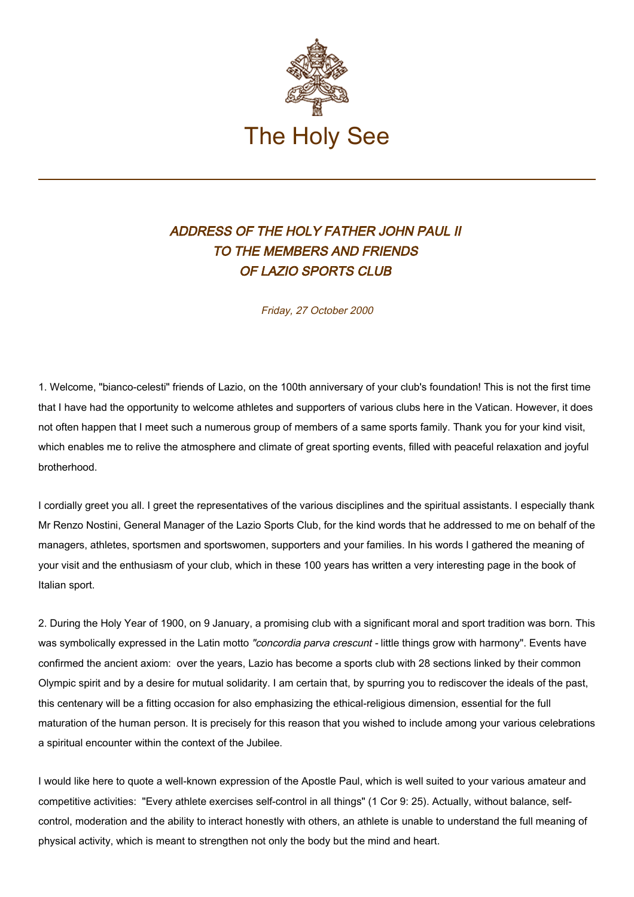

## ADDRESS OF THE HOLY FATHER JOHN PAUL II TO THE MEMBERS AND FRIENDS OF LAZIO SPORTS CLUB

Friday, 27 October 2000

1. Welcome, "bianco-celesti" friends of Lazio, on the 100th anniversary of your club's foundation! This is not the first time that I have had the opportunity to welcome athletes and supporters of various clubs here in the Vatican. However, it does not often happen that I meet such a numerous group of members of a same sports family. Thank you for your kind visit, which enables me to relive the atmosphere and climate of great sporting events, filled with peaceful relaxation and joyful brotherhood.

I cordially greet you all. I greet the representatives of the various disciplines and the spiritual assistants. I especially thank Mr Renzo Nostini, General Manager of the Lazio Sports Club, for the kind words that he addressed to me on behalf of the managers, athletes, sportsmen and sportswomen, supporters and your families. In his words I gathered the meaning of your visit and the enthusiasm of your club, which in these 100 years has written a very interesting page in the book of Italian sport.

2. During the Holy Year of 1900, on 9 January, a promising club with a significant moral and sport tradition was born. This was symbolically expressed in the Latin motto "concordia parva crescunt - little things grow with harmony". Events have confirmed the ancient axiom: over the years, Lazio has become a sports club with 28 sections linked by their common Olympic spirit and by a desire for mutual solidarity. I am certain that, by spurring you to rediscover the ideals of the past, this centenary will be a fitting occasion for also emphasizing the ethical-religious dimension, essential for the full maturation of the human person. It is precisely for this reason that you wished to include among your various celebrations a spiritual encounter within the context of the Jubilee.

I would like here to quote a well-known expression of the Apostle Paul, which is well suited to your various amateur and competitive activities: "Every athlete exercises self-control in all things" (1 Cor 9: 25). Actually, without balance, selfcontrol, moderation and the ability to interact honestly with others, an athlete is unable to understand the full meaning of physical activity, which is meant to strengthen not only the body but the mind and heart.